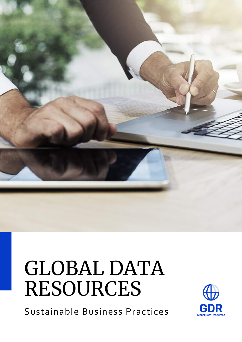

# GLOBAL DATA RESOURCES

Sustainable Business Practices